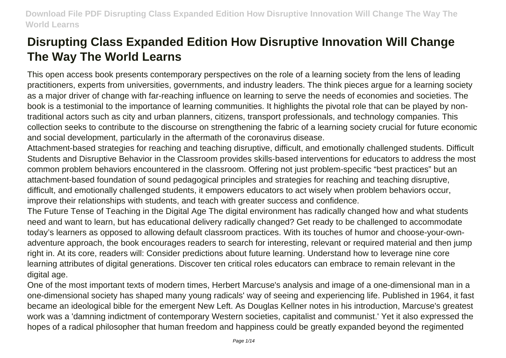# **Disrupting Class Expanded Edition How Disruptive Innovation Will Change The Way The World Learns**

This open access book presents contemporary perspectives on the role of a learning society from the lens of leading practitioners, experts from universities, governments, and industry leaders. The think pieces argue for a learning society as a major driver of change with far-reaching influence on learning to serve the needs of economies and societies. The book is a testimonial to the importance of learning communities. It highlights the pivotal role that can be played by nontraditional actors such as city and urban planners, citizens, transport professionals, and technology companies. This collection seeks to contribute to the discourse on strengthening the fabric of a learning society crucial for future economic and social development, particularly in the aftermath of the coronavirus disease.

Attachment-based strategies for reaching and teaching disruptive, difficult, and emotionally challenged students. Difficult Students and Disruptive Behavior in the Classroom provides skills-based interventions for educators to address the most common problem behaviors encountered in the classroom. Offering not just problem-specific "best practices" but an attachment-based foundation of sound pedagogical principles and strategies for reaching and teaching disruptive, difficult, and emotionally challenged students, it empowers educators to act wisely when problem behaviors occur, improve their relationships with students, and teach with greater success and confidence.

The Future Tense of Teaching in the Digital Age The digital environment has radically changed how and what students need and want to learn, but has educational delivery radically changed? Get ready to be challenged to accommodate today's learners as opposed to allowing default classroom practices. With its touches of humor and choose-your-ownadventure approach, the book encourages readers to search for interesting, relevant or required material and then jump right in. At its core, readers will: Consider predictions about future learning. Understand how to leverage nine core learning attributes of digital generations. Discover ten critical roles educators can embrace to remain relevant in the digital age.

One of the most important texts of modern times, Herbert Marcuse's analysis and image of a one-dimensional man in a one-dimensional society has shaped many young radicals' way of seeing and experiencing life. Published in 1964, it fast became an ideological bible for the emergent New Left. As Douglas Kellner notes in his introduction, Marcuse's greatest work was a 'damning indictment of contemporary Western societies, capitalist and communist.' Yet it also expressed the hopes of a radical philosopher that human freedom and happiness could be greatly expanded beyond the regimented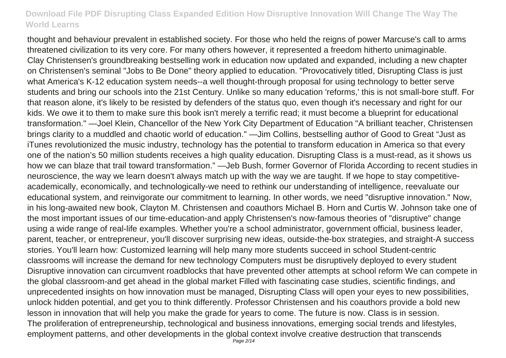thought and behaviour prevalent in established society. For those who held the reigns of power Marcuse's call to arms threatened civilization to its very core. For many others however, it represented a freedom hitherto unimaginable. Clay Christensen's groundbreaking bestselling work in education now updated and expanded, including a new chapter on Christensen's seminal "Jobs to Be Done" theory applied to education. "Provocatively titled, Disrupting Class is just what America's K-12 education system needs--a well thought-through proposal for using technology to better serve students and bring our schools into the 21st Century. Unlike so many education 'reforms,' this is not small-bore stuff. For that reason alone, it's likely to be resisted by defenders of the status quo, even though it's necessary and right for our kids. We owe it to them to make sure this book isn't merely a terrific read; it must become a blueprint for educational transformation." —Joel Klein, Chancellor of the New York City Department of Education "A brilliant teacher, Christensen brings clarity to a muddled and chaotic world of education." —Jim Collins, bestselling author of Good to Great "Just as iTunes revolutionized the music industry, technology has the potential to transform education in America so that every one of the nation's 50 million students receives a high quality education. Disrupting Class is a must-read, as it shows us how we can blaze that trail toward transformation." —Jeb Bush, former Governor of Florida According to recent studies in neuroscience, the way we learn doesn't always match up with the way we are taught. If we hope to stay competitiveacademically, economically, and technologically-we need to rethink our understanding of intelligence, reevaluate our educational system, and reinvigorate our commitment to learning. In other words, we need "disruptive innovation." Now, in his long-awaited new book, Clayton M. Christensen and coauthors Michael B. Horn and Curtis W. Johnson take one of the most important issues of our time-education-and apply Christensen's now-famous theories of "disruptive" change using a wide range of real-life examples. Whether you're a school administrator, government official, business leader, parent, teacher, or entrepreneur, you'll discover surprising new ideas, outside-the-box strategies, and straight-A success stories. You'll learn how: Customized learning will help many more students succeed in school Student-centric classrooms will increase the demand for new technology Computers must be disruptively deployed to every student Disruptive innovation can circumvent roadblocks that have prevented other attempts at school reform We can compete in the global classroom-and get ahead in the global market Filled with fascinating case studies, scientific findings, and unprecedented insights on how innovation must be managed, Disrupting Class will open your eyes to new possibilities, unlock hidden potential, and get you to think differently. Professor Christensen and his coauthors provide a bold new lesson in innovation that will help you make the grade for years to come. The future is now. Class is in session. The proliferation of entrepreneurship, technological and business innovations, emerging social trends and lifestyles, employment patterns, and other developments in the global context involve creative destruction that transcends Page 2/14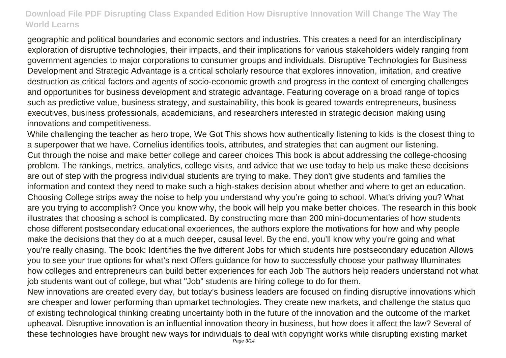geographic and political boundaries and economic sectors and industries. This creates a need for an interdisciplinary exploration of disruptive technologies, their impacts, and their implications for various stakeholders widely ranging from government agencies to major corporations to consumer groups and individuals. Disruptive Technologies for Business Development and Strategic Advantage is a critical scholarly resource that explores innovation, imitation, and creative destruction as critical factors and agents of socio-economic growth and progress in the context of emerging challenges and opportunities for business development and strategic advantage. Featuring coverage on a broad range of topics such as predictive value, business strategy, and sustainability, this book is geared towards entrepreneurs, business executives, business professionals, academicians, and researchers interested in strategic decision making using innovations and competitiveness.

While challenging the teacher as hero trope, We Got This shows how authentically listening to kids is the closest thing to a superpower that we have. Cornelius identifies tools, attributes, and strategies that can augment our listening. Cut through the noise and make better college and career choices This book is about addressing the college-choosing problem. The rankings, metrics, analytics, college visits, and advice that we use today to help us make these decisions are out of step with the progress individual students are trying to make. They don't give students and families the information and context they need to make such a high-stakes decision about whether and where to get an education. Choosing College strips away the noise to help you understand why you're going to school. What's driving you? What are you trying to accomplish? Once you know why, the book will help you make better choices. The research in this book illustrates that choosing a school is complicated. By constructing more than 200 mini-documentaries of how students chose different postsecondary educational experiences, the authors explore the motivations for how and why people make the decisions that they do at a much deeper, causal level. By the end, you'll know why you're going and what you're really chasing. The book: Identifies the five different Jobs for which students hire postsecondary education Allows you to see your true options for what's next Offers guidance for how to successfully choose your pathway Illuminates how colleges and entrepreneurs can build better experiences for each Job The authors help readers understand not what job students want out of college, but what "Job" students are hiring college to do for them.

New innovations are created every day, but today's business leaders are focused on finding disruptive innovations which are cheaper and lower performing than upmarket technologies. They create new markets, and challenge the status quo of existing technological thinking creating uncertainty both in the future of the innovation and the outcome of the market upheaval. Disruptive innovation is an influential innovation theory in business, but how does it affect the law? Several of these technologies have brought new ways for individuals to deal with copyright works while disrupting existing market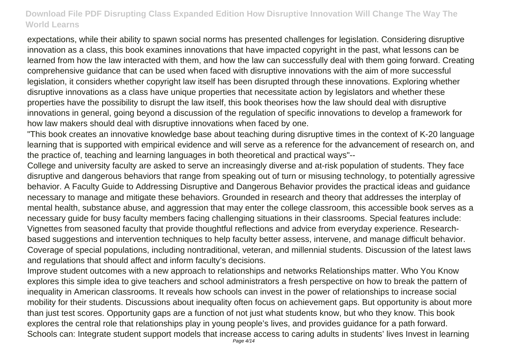expectations, while their ability to spawn social norms has presented challenges for legislation. Considering disruptive innovation as a class, this book examines innovations that have impacted copyright in the past, what lessons can be learned from how the law interacted with them, and how the law can successfully deal with them going forward. Creating comprehensive guidance that can be used when faced with disruptive innovations with the aim of more successful legislation, it considers whether copyright law itself has been disrupted through these innovations. Exploring whether disruptive innovations as a class have unique properties that necessitate action by legislators and whether these properties have the possibility to disrupt the law itself, this book theorises how the law should deal with disruptive innovations in general, going beyond a discussion of the regulation of specific innovations to develop a framework for how law makers should deal with disruptive innovations when faced by one.

"This book creates an innovative knowledge base about teaching during disruptive times in the context of K-20 language learning that is supported with empirical evidence and will serve as a reference for the advancement of research on, and the practice of, teaching and learning languages in both theoretical and practical ways"--

College and university faculty are asked to serve an increasingly diverse and at-risk population of students. They face disruptive and dangerous behaviors that range from speaking out of turn or misusing technology, to potentially agressive behavior. A Faculty Guide to Addressing Disruptive and Dangerous Behavior provides the practical ideas and guidance necessary to manage and mitigate these behaviors. Grounded in research and theory that addresses the interplay of mental health, substance abuse, and aggression that may enter the college classroom, this accessible book serves as a necessary guide for busy faculty members facing challenging situations in their classrooms. Special features include: Vignettes from seasoned faculty that provide thoughtful reflections and advice from everyday experience. Researchbased suggestions and intervention techniques to help faculty better assess, intervene, and manage difficult behavior. Coverage of special populations, including nontraditional, veteran, and millennial students. Discussion of the latest laws and regulations that should affect and inform faculty's decisions.

Improve student outcomes with a new approach to relationships and networks Relationships matter. Who You Know explores this simple idea to give teachers and school administrators a fresh perspective on how to break the pattern of inequality in American classrooms. It reveals how schools can invest in the power of relationships to increase social mobility for their students. Discussions about inequality often focus on achievement gaps. But opportunity is about more than just test scores. Opportunity gaps are a function of not just what students know, but who they know. This book explores the central role that relationships play in young people's lives, and provides guidance for a path forward. Schools can: Integrate student support models that increase access to caring adults in students' lives Invest in learning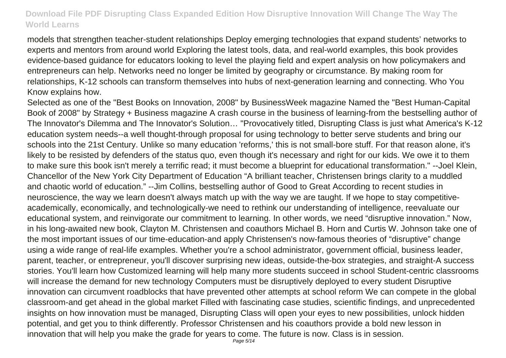models that strengthen teacher-student relationships Deploy emerging technologies that expand students' networks to experts and mentors from around world Exploring the latest tools, data, and real-world examples, this book provides evidence-based guidance for educators looking to level the playing field and expert analysis on how policymakers and entrepreneurs can help. Networks need no longer be limited by geography or circumstance. By making room for relationships, K-12 schools can transform themselves into hubs of next-generation learning and connecting. Who You Know explains how.

Selected as one of the "Best Books on Innovation, 2008" by BusinessWeek magazine Named the "Best Human-Capital Book of 2008" by Strategy + Business magazine A crash course in the business of learning-from the bestselling author of The Innovator's Dilemma and The Innovator's Solution… "Provocatively titled, Disrupting Class is just what America's K-12 education system needs--a well thought-through proposal for using technology to better serve students and bring our schools into the 21st Century. Unlike so many education 'reforms,' this is not small-bore stuff. For that reason alone, it's likely to be resisted by defenders of the status quo, even though it's necessary and right for our kids. We owe it to them to make sure this book isn't merely a terrific read; it must become a blueprint for educational transformation." --Joel Klein, Chancellor of the New York City Department of Education "A brilliant teacher, Christensen brings clarity to a muddled and chaotic world of education." --Jim Collins, bestselling author of Good to Great According to recent studies in neuroscience, the way we learn doesn't always match up with the way we are taught. If we hope to stay competitiveacademically, economically, and technologically-we need to rethink our understanding of intelligence, reevaluate our educational system, and reinvigorate our commitment to learning. In other words, we need "disruptive innovation." Now, in his long-awaited new book, Clayton M. Christensen and coauthors Michael B. Horn and Curtis W. Johnson take one of the most important issues of our time-education-and apply Christensen's now-famous theories of "disruptive" change using a wide range of real-life examples. Whether you're a school administrator, government official, business leader, parent, teacher, or entrepreneur, you'll discover surprising new ideas, outside-the-box strategies, and straight-A success stories. You'll learn how Customized learning will help many more students succeed in school Student-centric classrooms will increase the demand for new technology Computers must be disruptively deployed to every student Disruptive innovation can circumvent roadblocks that have prevented other attempts at school reform We can compete in the global classroom-and get ahead in the global market Filled with fascinating case studies, scientific findings, and unprecedented insights on how innovation must be managed, Disrupting Class will open your eyes to new possibilities, unlock hidden potential, and get you to think differently. Professor Christensen and his coauthors provide a bold new lesson in innovation that will help you make the grade for years to come. The future is now. Class is in session.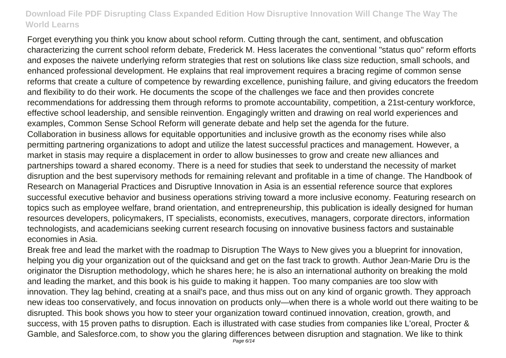Forget everything you think you know about school reform. Cutting through the cant, sentiment, and obfuscation characterizing the current school reform debate, Frederick M. Hess lacerates the conventional "status quo" reform efforts and exposes the naivete underlying reform strategies that rest on solutions like class size reduction, small schools, and enhanced professional development. He explains that real improvement requires a bracing regime of common sense reforms that create a culture of competence by rewarding excellence, punishing failure, and giving educators the freedom and flexibility to do their work. He documents the scope of the challenges we face and then provides concrete recommendations for addressing them through reforms to promote accountability, competition, a 21st-century workforce, effective school leadership, and sensible reinvention. Engagingly written and drawing on real world experiences and examples, Common Sense School Reform will generate debate and help set the agenda for the future. Collaboration in business allows for equitable opportunities and inclusive growth as the economy rises while also permitting partnering organizations to adopt and utilize the latest successful practices and management. However, a market in stasis may require a displacement in order to allow businesses to grow and create new alliances and partnerships toward a shared economy. There is a need for studies that seek to understand the necessity of market disruption and the best supervisory methods for remaining relevant and profitable in a time of change. The Handbook of Research on Managerial Practices and Disruptive Innovation in Asia is an essential reference source that explores successful executive behavior and business operations striving toward a more inclusive economy. Featuring research on topics such as employee welfare, brand orientation, and entrepreneurship, this publication is ideally designed for human resources developers, policymakers, IT specialists, economists, executives, managers, corporate directors, information technologists, and academicians seeking current research focusing on innovative business factors and sustainable economies in Asia.

Break free and lead the market with the roadmap to Disruption The Ways to New gives you a blueprint for innovation, helping you dig your organization out of the quicksand and get on the fast track to growth. Author Jean-Marie Dru is the originator the Disruption methodology, which he shares here; he is also an international authority on breaking the mold and leading the market, and this book is his guide to making it happen. Too many companies are too slow with innovation. They lag behind, creating at a snail's pace, and thus miss out on any kind of organic growth. They approach new ideas too conservatively, and focus innovation on products only—when there is a whole world out there waiting to be disrupted. This book shows you how to steer your organization toward continued innovation, creation, growth, and success, with 15 proven paths to disruption. Each is illustrated with case studies from companies like L'oreal, Procter & Gamble, and Salesforce.com, to show you the glaring differences between disruption and stagnation. We like to think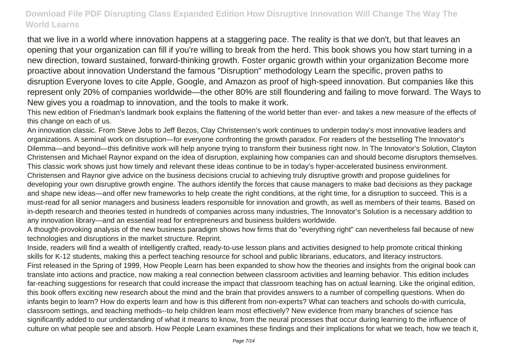that we live in a world where innovation happens at a staggering pace. The reality is that we don't, but that leaves an opening that your organization can fill if you're willing to break from the herd. This book shows you how start turning in a new direction, toward sustained, forward-thinking growth. Foster organic growth within your organization Become more proactive about innovation Understand the famous "Disruption" methodology Learn the specific, proven paths to disruption Everyone loves to cite Apple, Google, and Amazon as proof of high-speed innovation. But companies like this represent only 20% of companies worldwide—the other 80% are still floundering and failing to move forward. The Ways to New gives you a roadmap to innovation, and the tools to make it work.

This new edition of Friedman's landmark book explains the flattening of the world better than ever- and takes a new measure of the effects of this change on each of us.

An innovation classic. From Steve Jobs to Jeff Bezos, Clay Christensen's work continues to underpin today's most innovative leaders and organizations. A seminal work on disruption—for everyone confronting the growth paradox. For readers of the bestselling The Innovator's Dilemma—and beyond—this definitive work will help anyone trying to transform their business right now. In The Innovator's Solution, Clayton Christensen and Michael Raynor expand on the idea of disruption, explaining how companies can and should become disruptors themselves. This classic work shows just how timely and relevant these ideas continue to be in today's hyper-accelerated business environment. Christensen and Raynor give advice on the business decisions crucial to achieving truly disruptive growth and propose guidelines for developing your own disruptive growth engine. The authors identify the forces that cause managers to make bad decisions as they package and shape new ideas—and offer new frameworks to help create the right conditions, at the right time, for a disruption to succeed. This is a must-read for all senior managers and business leaders responsible for innovation and growth, as well as members of their teams. Based on in-depth research and theories tested in hundreds of companies across many industries, The Innovator's Solution is a necessary addition to any innovation library—and an essential read for entrepreneurs and business builders worldwide.

A thought-provoking analysis of the new business paradigm shows how firms that do "everything right" can nevertheless fail because of new technologies and disruptions in the market structure. Reprint.

Inside, readers will find a wealth of intelligently crafted, ready-to-use lesson plans and activities designed to help promote critical thinking skills for K-12 students, making this a perfect teaching resource for school and public librarians, educators, and literacy instructors. First released in the Spring of 1999, How People Learn has been expanded to show how the theories and insights from the original book can translate into actions and practice, now making a real connection between classroom activities and learning behavior. This edition includes far-reaching suggestions for research that could increase the impact that classroom teaching has on actual learning. Like the original edition, this book offers exciting new research about the mind and the brain that provides answers to a number of compelling questions. When do infants begin to learn? How do experts learn and how is this different from non-experts? What can teachers and schools do-with curricula, classroom settings, and teaching methods--to help children learn most effectively? New evidence from many branches of science has significantly added to our understanding of what it means to know, from the neural processes that occur during learning to the influence of culture on what people see and absorb. How People Learn examines these findings and their implications for what we teach, how we teach it,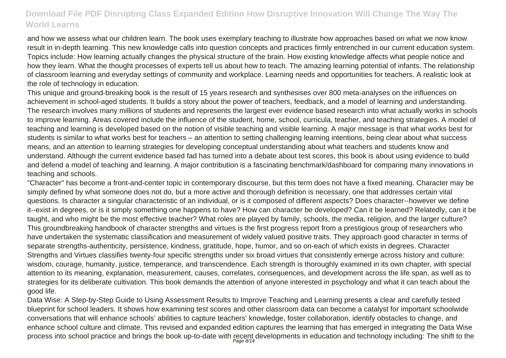and how we assess what our children learn. The book uses exemplary teaching to illustrate how approaches based on what we now know result in in-depth learning. This new knowledge calls into question concepts and practices firmly entrenched in our current education system. Topics include: How learning actually changes the physical structure of the brain. How existing knowledge affects what people notice and how they learn. What the thought processes of experts tell us about how to teach. The amazing learning potential of infants. The relationship of classroom learning and everyday settings of community and workplace. Learning needs and opportunities for teachers. A realistic look at the role of technology in education.

This unique and ground-breaking book is the result of 15 years research and synthesises over 800 meta-analyses on the influences on achievement in school-aged students. It builds a story about the power of teachers, feedback, and a model of learning and understanding. The research involves many millions of students and represents the largest ever evidence based research into what actually works in schools to improve learning. Areas covered include the influence of the student, home, school, curricula, teacher, and teaching strategies. A model of teaching and learning is developed based on the notion of visible teaching and visible learning. A major message is that what works best for students is similar to what works best for teachers – an attention to setting challenging learning intentions, being clear about what success means, and an attention to learning strategies for developing conceptual understanding about what teachers and students know and understand. Although the current evidence based fad has turned into a debate about test scores, this book is about using evidence to build and defend a model of teaching and learning. A major contribution is a fascinating benchmark/dashboard for comparing many innovations in teaching and schools.

"Character" has become a front-and-center topic in contemporary discourse, but this term does not have a fixed meaning. Character may be simply defined by what someone does not do, but a more active and thorough definition is necessary, one that addresses certain vital questions. Is character a singular characteristic of an individual, or is it composed of different aspects? Does character--however we define it--exist in degrees, or is it simply something one happens to have? How can character be developed? Can it be learned? Relatedly, can it be taught, and who might be the most effective teacher? What roles are played by family, schools, the media, religion, and the larger culture? This groundbreaking handbook of character strengths and virtues is the first progress report from a prestigious group of researchers who have undertaken the systematic classification and measurement of widely valued positive traits. They approach good character in terms of separate strengths-authenticity, persistence, kindness, gratitude, hope, humor, and so on-each of which exists in degrees. Character Strengths and Virtues classifies twenty-four specific strengths under six broad virtues that consistently emerge across history and culture: wisdom, courage, humanity, justice, temperance, and transcendence. Each strength is thoroughly examined in its own chapter, with special attention to its meaning, explanation, measurement, causes, correlates, consequences, and development across the life span, as well as to strategies for its deliberate cultivation. This book demands the attention of anyone interested in psychology and what it can teach about the good life.

Data Wise: A Step-by-Step Guide to Using Assessment Results to Improve Teaching and Learning presents a clear and carefully tested blueprint for school leaders. It shows how examining test scores and other classroom data can become a catalyst for important schoolwide conversations that will enhance schools' abilities to capture teachers' knowledge, foster collaboration, identify obstacles to change, and enhance school culture and climate. This revised and expanded edition captures the learning that has emerged in integrating the Data Wise process into school practice and brings the book up-to-date with recent developments in education and technology including: The shift to the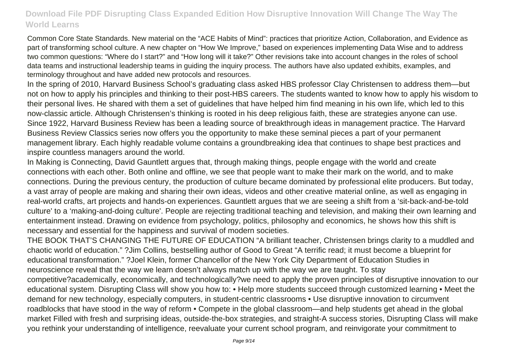Common Core State Standards. New material on the "ACE Habits of Mind": practices that prioritize Action, Collaboration, and Evidence as part of transforming school culture. A new chapter on "How We Improve," based on experiences implementing Data Wise and to address two common questions: "Where do I start?" and "How long will it take?" Other revisions take into account changes in the roles of school data teams and instructional leadership teams in guiding the inquiry process. The authors have also updated exhibits, examples, and terminology throughout and have added new protocols and resources.

In the spring of 2010, Harvard Business School's graduating class asked HBS professor Clay Christensen to address them—but not on how to apply his principles and thinking to their post-HBS careers. The students wanted to know how to apply his wisdom to their personal lives. He shared with them a set of guidelines that have helped him find meaning in his own life, which led to this now-classic article. Although Christensen's thinking is rooted in his deep religious faith, these are strategies anyone can use. Since 1922, Harvard Business Review has been a leading source of breakthrough ideas in management practice. The Harvard Business Review Classics series now offers you the opportunity to make these seminal pieces a part of your permanent management library. Each highly readable volume contains a groundbreaking idea that continues to shape best practices and inspire countless managers around the world.

In Making is Connecting, David Gauntlett argues that, through making things, people engage with the world and create connections with each other. Both online and offline, we see that people want to make their mark on the world, and to make connections. During the previous century, the production of culture became dominated by professional elite producers. But today, a vast array of people are making and sharing their own ideas, videos and other creative material online, as well as engaging in real-world crafts, art projects and hands-on experiences. Gauntlett argues that we are seeing a shift from a 'sit-back-and-be-told culture' to a 'making-and-doing culture'. People are rejecting traditional teaching and television, and making their own learning and entertainment instead. Drawing on evidence from psychology, politics, philosophy and economics, he shows how this shift is necessary and essential for the happiness and survival of modern societies.

THE BOOK THAT'S CHANGING THE FUTURE OF EDUCATION "A brilliant teacher, Christensen brings clarity to a muddled and chaotic world of education." ?Jim Collins, bestselling author of Good to Great "A terrific read; it must become a blueprint for educational transformation." ?Joel Klein, former Chancellor of the New York City Department of Education Studies in neuroscience reveal that the way we learn doesn't always match up with the way we are taught. To stay competitive?academically, economically, and technologically?we need to apply the proven principles of disruptive innovation to our educational system. Disrupting Class will show you how to: • Help more students succeed through customized learning • Meet the demand for new technology, especially computers, in student-centric classrooms • Use disruptive innovation to circumvent roadblocks that have stood in the way of reform • Compete in the global classroom—and help students get ahead in the global market Filled with fresh and surprising ideas, outside-the-box strategies, and straight-A success stories, Disrupting Class will make you rethink your understanding of intelligence, reevaluate your current school program, and reinvigorate your commitment to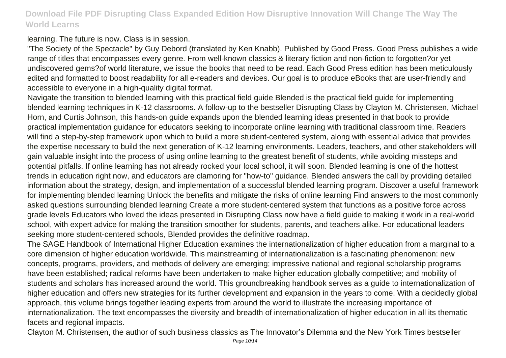learning. The future is now. Class is in session.

"The Society of the Spectacle" by Guy Debord (translated by Ken Knabb). Published by Good Press. Good Press publishes a wide range of titles that encompasses every genre. From well-known classics & literary fiction and non-fiction to forgotten?or yet undiscovered gems?of world literature, we issue the books that need to be read. Each Good Press edition has been meticulously edited and formatted to boost readability for all e-readers and devices. Our goal is to produce eBooks that are user-friendly and accessible to everyone in a high-quality digital format.

Navigate the transition to blended learning with this practical field guide Blended is the practical field guide for implementing blended learning techniques in K-12 classrooms. A follow-up to the bestseller Disrupting Class by Clayton M. Christensen, Michael Horn, and Curtis Johnson, this hands-on guide expands upon the blended learning ideas presented in that book to provide practical implementation guidance for educators seeking to incorporate online learning with traditional classroom time. Readers will find a step-by-step framework upon which to build a more student-centered system, along with essential advice that provides the expertise necessary to build the next generation of K-12 learning environments. Leaders, teachers, and other stakeholders will gain valuable insight into the process of using online learning to the greatest benefit of students, while avoiding missteps and potential pitfalls. If online learning has not already rocked your local school, it will soon. Blended learning is one of the hottest trends in education right now, and educators are clamoring for "how-to" guidance. Blended answers the call by providing detailed information about the strategy, design, and implementation of a successful blended learning program. Discover a useful framework for implementing blended learning Unlock the benefits and mitigate the risks of online learning Find answers to the most commonly asked questions surrounding blended learning Create a more student-centered system that functions as a positive force across grade levels Educators who loved the ideas presented in Disrupting Class now have a field guide to making it work in a real-world school, with expert advice for making the transition smoother for students, parents, and teachers alike. For educational leaders seeking more student-centered schools, Blended provides the definitive roadmap.

The SAGE Handbook of International Higher Education examines the internationalization of higher education from a marginal to a core dimension of higher education worldwide. This mainstreaming of internationalization is a fascinating phenomenon: new concepts, programs, providers, and methods of delivery are emerging; impressive national and regional scholarship programs have been established; radical reforms have been undertaken to make higher education globally competitive; and mobility of students and scholars has increased around the world. This groundbreaking handbook serves as a guide to internationalization of higher education and offers new strategies for its further development and expansion in the years to come. With a decidedly global approach, this volume brings together leading experts from around the world to illustrate the increasing importance of internationalization. The text encompasses the diversity and breadth of internationalization of higher education in all its thematic facets and regional impacts.

Clayton M. Christensen, the author of such business classics as The Innovator's Dilemma and the New York Times bestseller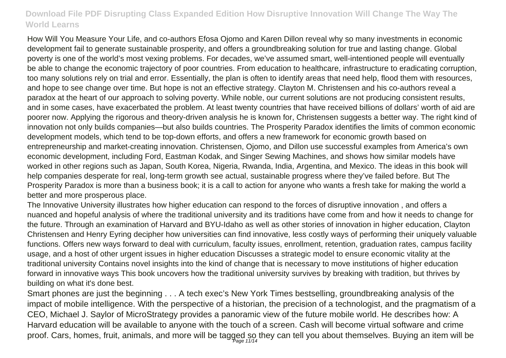How Will You Measure Your Life, and co-authors Efosa Ojomo and Karen Dillon reveal why so many investments in economic development fail to generate sustainable prosperity, and offers a groundbreaking solution for true and lasting change. Global poverty is one of the world's most vexing problems. For decades, we've assumed smart, well-intentioned people will eventually be able to change the economic trajectory of poor countries. From education to healthcare, infrastructure to eradicating corruption, too many solutions rely on trial and error. Essentially, the plan is often to identify areas that need help, flood them with resources, and hope to see change over time. But hope is not an effective strategy. Clayton M. Christensen and his co-authors reveal a paradox at the heart of our approach to solving poverty. While noble, our current solutions are not producing consistent results, and in some cases, have exacerbated the problem. At least twenty countries that have received billions of dollars' worth of aid are poorer now. Applying the rigorous and theory-driven analysis he is known for, Christensen suggests a better way. The right kind of innovation not only builds companies—but also builds countries. The Prosperity Paradox identifies the limits of common economic development models, which tend to be top-down efforts, and offers a new framework for economic growth based on entrepreneurship and market-creating innovation. Christensen, Ojomo, and Dillon use successful examples from America's own economic development, including Ford, Eastman Kodak, and Singer Sewing Machines, and shows how similar models have worked in other regions such as Japan, South Korea, Nigeria, Rwanda, India, Argentina, and Mexico. The ideas in this book will help companies desperate for real, long-term growth see actual, sustainable progress where they've failed before. But The Prosperity Paradox is more than a business book; it is a call to action for anyone who wants a fresh take for making the world a better and more prosperous place.

The Innovative University illustrates how higher education can respond to the forces of disruptive innovation , and offers a nuanced and hopeful analysis of where the traditional university and its traditions have come from and how it needs to change for the future. Through an examination of Harvard and BYU-Idaho as well as other stories of innovation in higher education, Clayton Christensen and Henry Eyring decipher how universities can find innovative, less costly ways of performing their uniquely valuable functions. Offers new ways forward to deal with curriculum, faculty issues, enrollment, retention, graduation rates, campus facility usage, and a host of other urgent issues in higher education Discusses a strategic model to ensure economic vitality at the traditional university Contains novel insights into the kind of change that is necessary to move institutions of higher education forward in innovative ways This book uncovers how the traditional university survives by breaking with tradition, but thrives by building on what it's done best.

Smart phones are just the beginning . . . A tech exec's New York Times bestselling, groundbreaking analysis of the impact of mobile intelligence. With the perspective of a historian, the precision of a technologist, and the pragmatism of a CEO, Michael J. Saylor of MicroStrategy provides a panoramic view of the future mobile world. He describes how: A Harvard education will be available to anyone with the touch of a screen. Cash will become virtual software and crime proof. Cars, homes, fruit, animals, and more will be tagged so they can tell you about themselves. Buying an item will be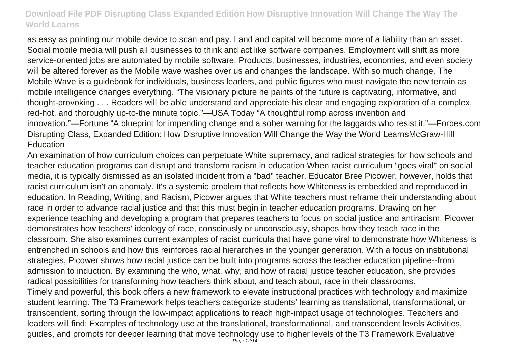as easy as pointing our mobile device to scan and pay. Land and capital will become more of a liability than an asset. Social mobile media will push all businesses to think and act like software companies. Employment will shift as more service-oriented jobs are automated by mobile software. Products, businesses, industries, economies, and even society will be altered forever as the Mobile wave washes over us and changes the landscape. With so much change, The Mobile Wave is a guidebook for individuals, business leaders, and public figures who must navigate the new terrain as mobile intelligence changes everything. "The visionary picture he paints of the future is captivating, informative, and thought-provoking . . . Readers will be able understand and appreciate his clear and engaging exploration of a complex, red-hot, and thoroughly up-to-the minute topic."—USA Today "A thoughtful romp across invention and innovation."—Fortune "A blueprint for impending change and a sober warning for the laggards who resist it."—Forbes.com Disrupting Class, Expanded Edition: How Disruptive Innovation Will Change the Way the World LearnsMcGraw-Hill **Education** 

An examination of how curriculum choices can perpetuate White supremacy, and radical strategies for how schools and teacher education programs can disrupt and transform racism in education When racist curriculum "goes viral" on social media, it is typically dismissed as an isolated incident from a "bad" teacher. Educator Bree Picower, however, holds that racist curriculum isn't an anomaly. It's a systemic problem that reflects how Whiteness is embedded and reproduced in education. In Reading, Writing, and Racism, Picower argues that White teachers must reframe their understanding about race in order to advance racial justice and that this must begin in teacher education programs. Drawing on her experience teaching and developing a program that prepares teachers to focus on social justice and antiracism, Picower demonstrates how teachers' ideology of race, consciously or unconsciously, shapes how they teach race in the classroom. She also examines current examples of racist curricula that have gone viral to demonstrate how Whiteness is entrenched in schools and how this reinforces racial hierarchies in the younger generation. With a focus on institutional strategies, Picower shows how racial justice can be built into programs across the teacher education pipeline--from admission to induction. By examining the who, what, why, and how of racial justice teacher education, she provides radical possibilities for transforming how teachers think about, and teach about, race in their classrooms. Timely and powerful, this book offers a new framework to elevate instructional practices with technology and maximize student learning. The T3 Framework helps teachers categorize students' learning as translational, transformational, or transcendent, sorting through the low-impact applications to reach high-impact usage of technologies. Teachers and leaders will find: Examples of technology use at the translational, transformational, and transcendent levels Activities, guides, and prompts for deeper learning that move technology use to higher levels of the T3 Framework Evaluative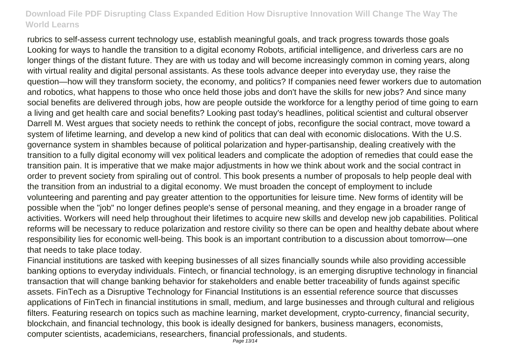rubrics to self-assess current technology use, establish meaningful goals, and track progress towards those goals Looking for ways to handle the transition to a digital economy Robots, artificial intelligence, and driverless cars are no longer things of the distant future. They are with us today and will become increasingly common in coming years, along with virtual reality and digital personal assistants. As these tools advance deeper into everyday use, they raise the question—how will they transform society, the economy, and politics? If companies need fewer workers due to automation and robotics, what happens to those who once held those jobs and don't have the skills for new jobs? And since many social benefits are delivered through jobs, how are people outside the workforce for a lengthy period of time going to earn a living and get health care and social benefits? Looking past today's headlines, political scientist and cultural observer Darrell M. West argues that society needs to rethink the concept of jobs, reconfigure the social contract, move toward a system of lifetime learning, and develop a new kind of politics that can deal with economic dislocations. With the U.S. governance system in shambles because of political polarization and hyper-partisanship, dealing creatively with the transition to a fully digital economy will vex political leaders and complicate the adoption of remedies that could ease the transition pain. It is imperative that we make major adjustments in how we think about work and the social contract in order to prevent society from spiraling out of control. This book presents a number of proposals to help people deal with the transition from an industrial to a digital economy. We must broaden the concept of employment to include volunteering and parenting and pay greater attention to the opportunities for leisure time. New forms of identity will be possible when the "job" no longer defines people's sense of personal meaning, and they engage in a broader range of activities. Workers will need help throughout their lifetimes to acquire new skills and develop new job capabilities. Political reforms will be necessary to reduce polarization and restore civility so there can be open and healthy debate about where responsibility lies for economic well-being. This book is an important contribution to a discussion about tomorrow—one that needs to take place today.

Financial institutions are tasked with keeping businesses of all sizes financially sounds while also providing accessible banking options to everyday individuals. Fintech, or financial technology, is an emerging disruptive technology in financial transaction that will change banking behavior for stakeholders and enable better traceability of funds against specific assets. FinTech as a Disruptive Technology for Financial Institutions is an essential reference source that discusses applications of FinTech in financial institutions in small, medium, and large businesses and through cultural and religious filters. Featuring research on topics such as machine learning, market development, crypto-currency, financial security, blockchain, and financial technology, this book is ideally designed for bankers, business managers, economists, computer scientists, academicians, researchers, financial professionals, and students.